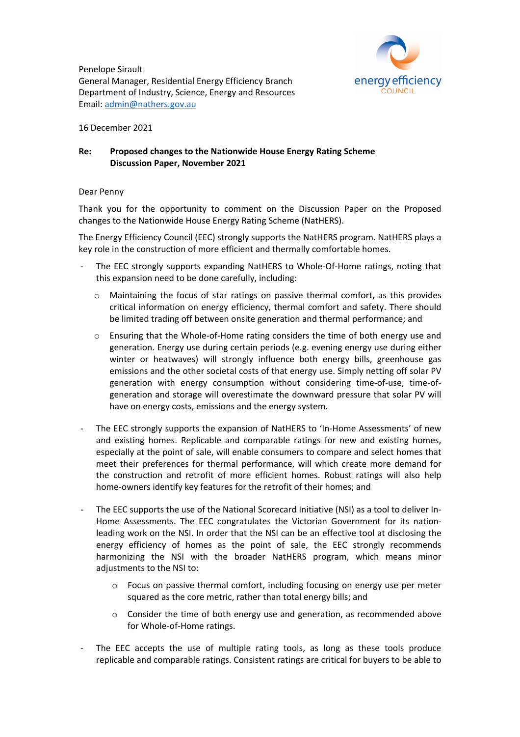

Penelope Sirault General Manager, Residential Energy Efficiency Branch Department of Industry, Science, Energy and Resources Email: admin@nathers.gov.au

16 December 2021

## **Re: Proposed changes to the Nationwide House Energy Rating Scheme Discussion Paper, November 2021**

## Dear Penny

Thank you for the opportunity to comment on the Discussion Paper on the Proposed changes to the Nationwide House Energy Rating Scheme (NatHERS).

The Energy Efficiency Council (EEC) strongly supports the NatHERS program. NatHERS plays a key role in the construction of more efficient and thermally comfortable homes.

- The EEC strongly supports expanding NatHERS to Whole-Of-Home ratings, noting that this expansion need to be done carefully, including:
	- o Maintaining the focus of star ratings on passive thermal comfort, as this provides critical information on energy efficiency, thermal comfort and safety. There should be limited trading off between onsite generation and thermal performance; and
	- $\circ$  Ensuring that the Whole-of-Home rating considers the time of both energy use and generation. Energy use during certain periods (e.g. evening energy use during either winter or heatwaves) will strongly influence both energy bills, greenhouse gas emissions and the other societal costs of that energy use. Simply netting off solar PV generation with energy consumption without considering time-of-use, time-ofgeneration and storage will overestimate the downward pressure that solar PV will have on energy costs, emissions and the energy system.
- The EEC strongly supports the expansion of NatHERS to 'In-Home Assessments' of new and existing homes. Replicable and comparable ratings for new and existing homes, especially at the point of sale, will enable consumers to compare and select homes that meet their preferences for thermal performance, will which create more demand for the construction and retrofit of more efficient homes. Robust ratings will also help home-owners identify key features for the retrofit of their homes; and
- The EEC supports the use of the National Scorecard Initiative (NSI) as a tool to deliver In-Home Assessments. The EEC congratulates the Victorian Government for its nationleading work on the NSI. In order that the NSI can be an effective tool at disclosing the energy efficiency of homes as the point of sale, the EEC strongly recommends harmonizing the NSI with the broader NatHERS program, which means minor adjustments to the NSI to:
	- o Focus on passive thermal comfort, including focusing on energy use per meter squared as the core metric, rather than total energy bills; and
	- $\circ$  Consider the time of both energy use and generation, as recommended above for Whole-of-Home ratings.
- The EEC accepts the use of multiple rating tools, as long as these tools produce replicable and comparable ratings. Consistent ratings are critical for buyers to be able to